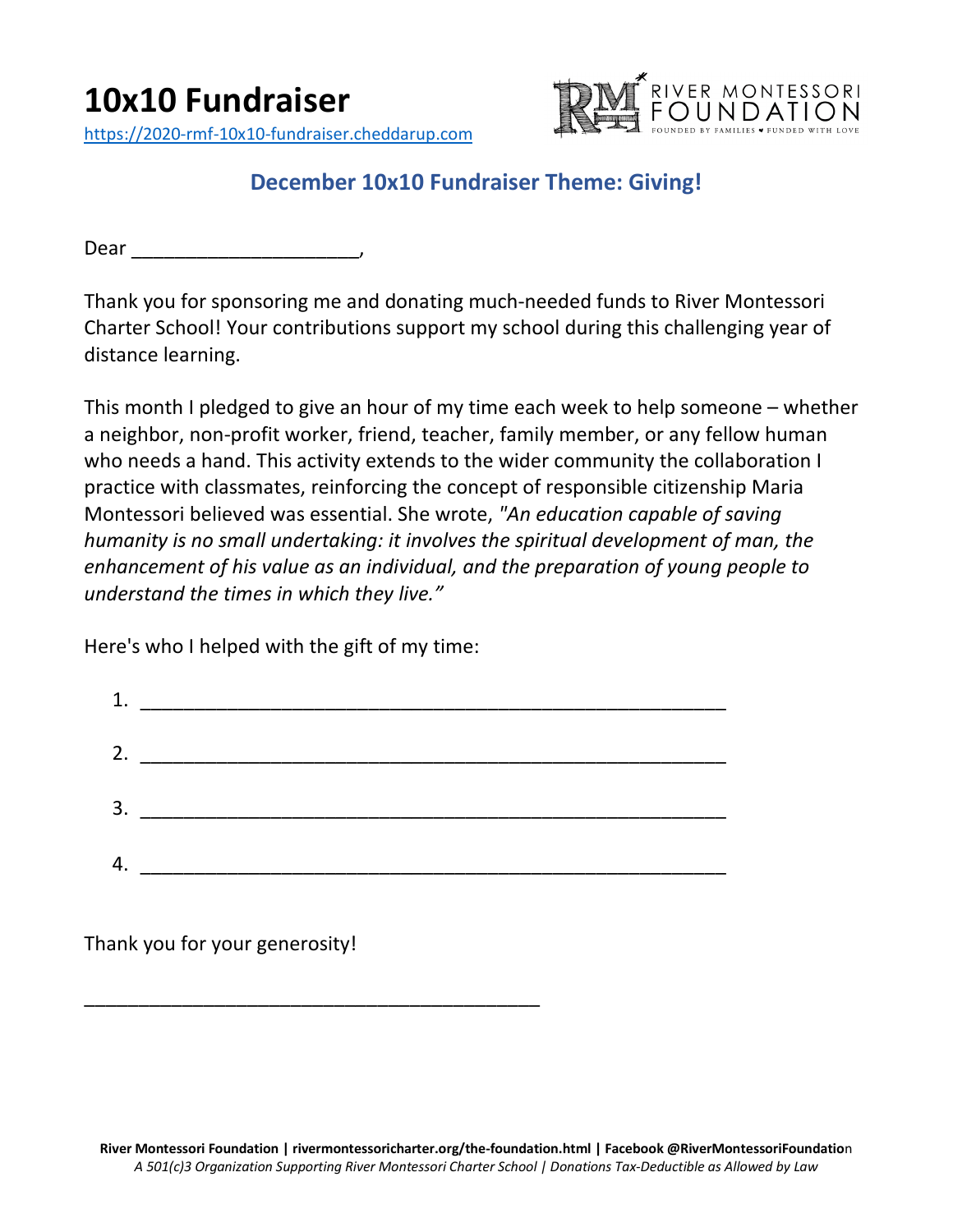

## **December 10x10 Fundraiser Theme: Giving!**

Dear \_\_\_\_\_\_\_\_\_\_\_\_\_\_\_\_\_\_\_\_\_,

Thank you for sponsoring me and donating much-needed funds to River Montessori Charter School! Your contributions support my school during this challenging year of distance learning.

This month I pledged to give an hour of my time each week to help someone – whether a neighbor, non-profit worker, friend, teacher, family member, or any fellow human who needs a hand. This activity extends to the wider community the collaboration I practice with classmates, reinforcing the concept of responsible citizenship Maria Montessori believed was essential. She wrote, *"An education capable of saving humanity is no small undertaking: it involves the spiritual development of man, the enhancement of his value as an individual, and the preparation of young people to understand the times in which they live."*

Here's who I helped with the gift of my time:

\_\_\_\_\_\_\_\_\_\_\_\_\_\_\_\_\_\_\_\_\_\_\_\_\_\_\_\_\_\_\_\_\_\_\_\_\_\_\_\_\_\_

|    | 1. $\qquad \qquad$ |
|----|--------------------|
| 2. |                    |
| 3. |                    |
| 4. |                    |

Thank you for your generosity!